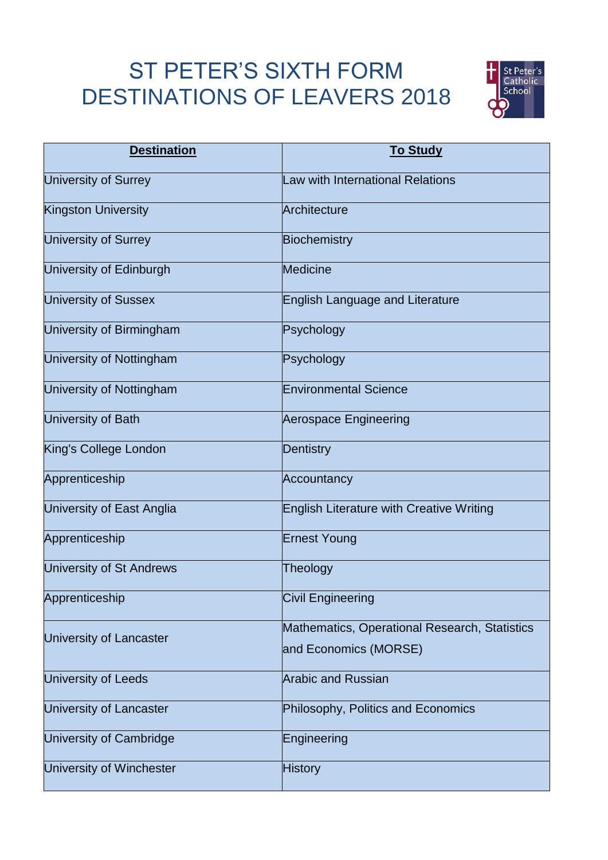## ST PETER'S SIXTH FORM DESTINATIONS OF LEAVERS 2018



| <b>Destination</b>              | <b>To Study</b>                                 |
|---------------------------------|-------------------------------------------------|
| <b>University of Surrey</b>     | <b>Law with International Relations</b>         |
| <b>Kingston University</b>      | Architecture                                    |
| <b>University of Surrey</b>     | <b>Biochemistry</b>                             |
| University of Edinburgh         | <b>Medicine</b>                                 |
| <b>University of Sussex</b>     | <b>English Language and Literature</b>          |
| University of Birmingham        | Psychology                                      |
| University of Nottingham        | Psychology                                      |
| <b>University of Nottingham</b> | <b>Environmental Science</b>                    |
| University of Bath              | <b>Aerospace Engineering</b>                    |
| King's College London           | <b>Dentistry</b>                                |
| Apprenticeship                  | Accountancy                                     |
| University of East Anglia       | <b>English Literature with Creative Writing</b> |
| Apprenticeship                  | <b>Ernest Young</b>                             |
| <b>University of St Andrews</b> | Theology                                        |
| Apprenticeship                  | <b>Civil Engineering</b>                        |
| University of Lancaster         | Mathematics, Operational Research, Statistics   |
|                                 | and Economics (MORSE)                           |
| University of Leeds             | <b>Arabic and Russian</b>                       |
| University of Lancaster         | Philosophy, Politics and Economics              |
| University of Cambridge         | Engineering                                     |
| University of Winchester        | <b>History</b>                                  |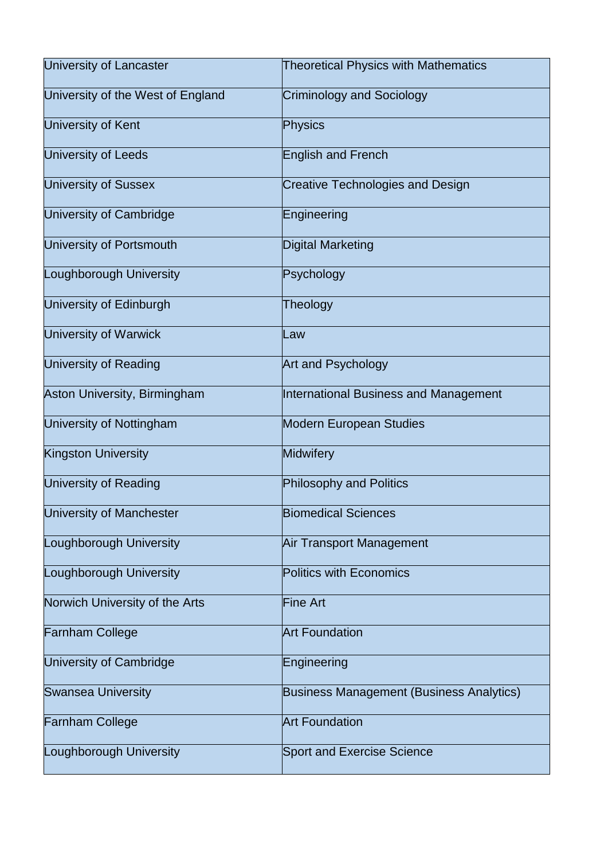| <b>University of Lancaster</b>    | <b>Theoretical Physics with Mathematics</b>     |
|-----------------------------------|-------------------------------------------------|
| University of the West of England | <b>Criminology and Sociology</b>                |
| University of Kent                | <b>Physics</b>                                  |
| <b>University of Leeds</b>        | <b>English and French</b>                       |
| <b>University of Sussex</b>       | <b>Creative Technologies and Design</b>         |
| University of Cambridge           | Engineering                                     |
| University of Portsmouth          | <b>Digital Marketing</b>                        |
| Loughborough University           | Psychology                                      |
| <b>University of Edinburgh</b>    | Theology                                        |
| <b>University of Warwick</b>      | Law                                             |
| <b>University of Reading</b>      | <b>Art and Psychology</b>                       |
| Aston University, Birmingham      | <b>International Business and Management</b>    |
| <b>University of Nottingham</b>   | <b>Modern European Studies</b>                  |
| <b>Kingston University</b>        | <b>Midwifery</b>                                |
| University of Reading             | <b>Philosophy and Politics</b>                  |
| University of Manchester          | <b>Biomedical Sciences</b>                      |
| Loughborough University           | Air Transport Management                        |
| Loughborough University           | <b>Politics with Economics</b>                  |
| Norwich University of the Arts    | <b>Fine Art</b>                                 |
| <b>Farnham College</b>            | <b>Art Foundation</b>                           |
| University of Cambridge           | Engineering                                     |
| <b>Swansea University</b>         | <b>Business Management (Business Analytics)</b> |
| <b>Farnham College</b>            | <b>Art Foundation</b>                           |
| Loughborough University           | <b>Sport and Exercise Science</b>               |